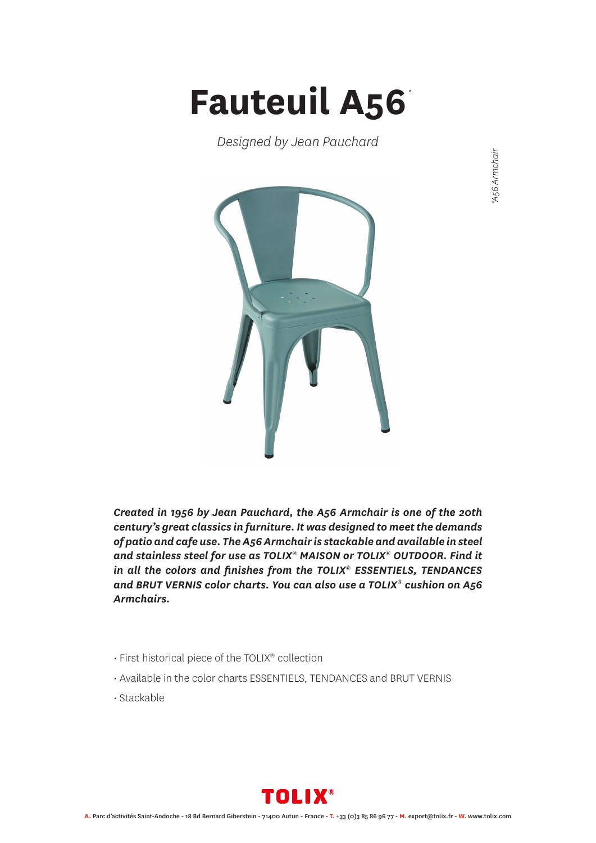## **Fauteuil A56** *\**

*Designed by Jean Pauchard*



*Created in 1956 by Jean Pauchard, the A56 Armchair is one of the 20th century's great classics in furniture. It was designed to meet the demands of patio and cafe use. The A56 Armchair is stackable and available in steel and stainless steel for use as TOLIX® MAISON or TOLIX® OUTDOOR. Find it in all the colors and finishes from the TOLIX® ESSENTIELS, TENDANCES and BRUT VERNIS color charts. You can also use a TOLIX® cushion on A56 Armchairs.*

- First historical piece of the TOLIX® collection
- Available in the color charts ESSENTIELS, TENDANCES and BRUT VERNIS
- Stackable